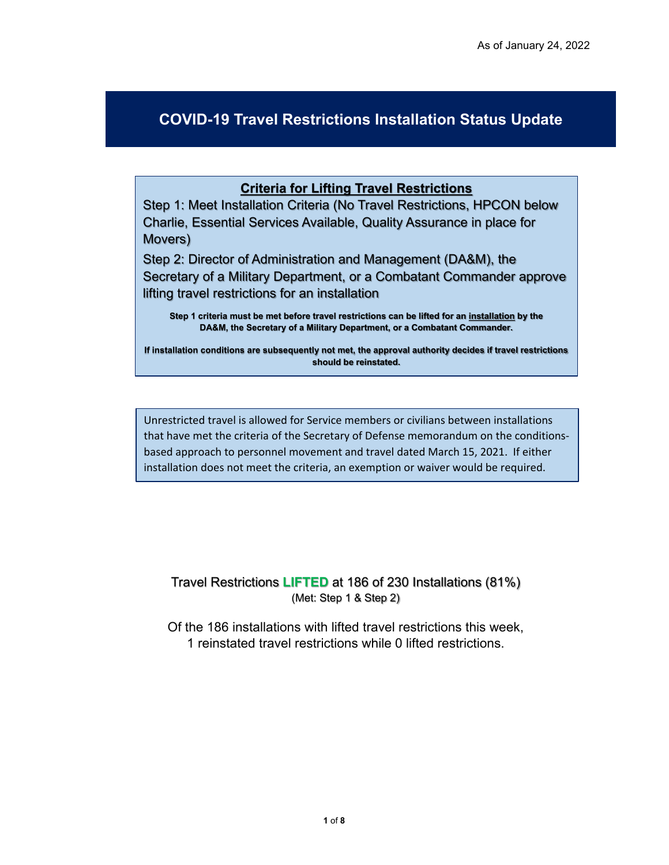## **COVID-19 Travel Restrictions Installation Status Update**

## **Criteria for Lifting Travel Restrictions**

Step 1: Meet Installation Criteria (No Travel Restrictions, HPCON below Charlie, Essential Services Available, Quality Assurance in place for Movers)

Step 2: Director of Administration and Management (DA&M), the Secretary of a Military Department, or a Combatant Commander approve lifting travel restrictions for an installation

**Step 1 criteria must be met before travel restrictions can be lifted for an installation by the DA&M, the Secretary of a Military Department, or a Combatant Commander.** 

**If installation conditions are subsequently not met, the approval authority decides if travel restrictions should be reinstated.** 

Unrestricted travel is allowed for Service members or civilians between installations that have met the criteria of the Secretary of Defense memorandum on the conditionsbased approach to personnel movement and travel dated March 15, 2021. If either installation does not meet the criteria, an exemption or waiver would be required.

Travel Restrictions **LIFTED** at 186 of 230 Installations (81%) (Met: Step 1 & Step 2)

Of the 186 installations with lifted travel restrictions this week, 1 reinstated travel restrictions while 0 lifted restrictions.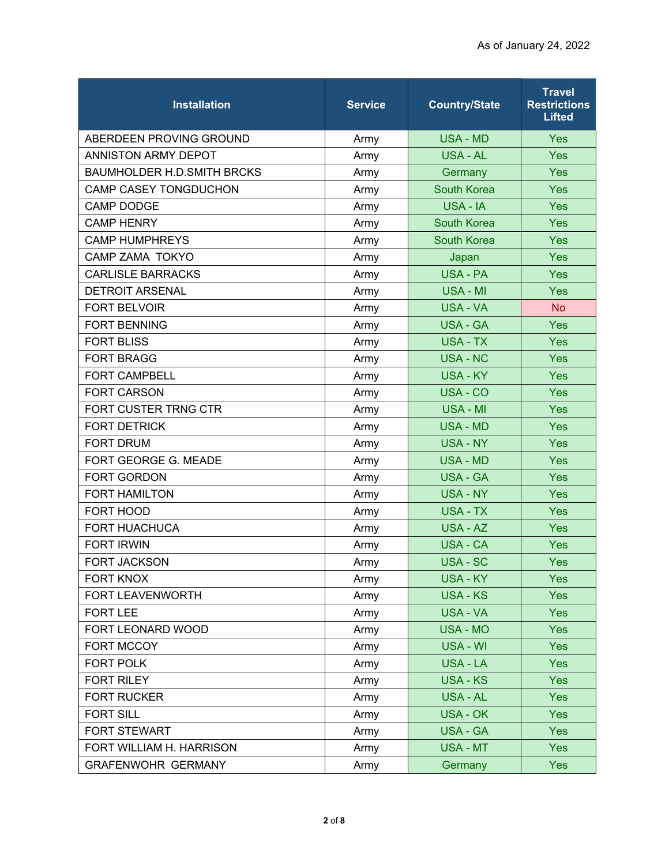| <b>Installation</b>               | <b>Service</b> | <b>Country/State</b> | <b>Travel</b><br><b>Restrictions</b><br><b>Lifted</b> |
|-----------------------------------|----------------|----------------------|-------------------------------------------------------|
| ABERDEEN PROVING GROUND           | Army           | <b>USA - MD</b>      | <b>Yes</b>                                            |
| ANNISTON ARMY DEPOT               | Army           | <b>USA - AL</b>      | Yes                                                   |
| <b>BAUMHOLDER H.D.SMITH BRCKS</b> | Army           | Germany              | Yes                                                   |
| CAMP CASEY TONGDUCHON             | Army           | <b>South Korea</b>   | Yes                                                   |
| <b>CAMP DODGE</b>                 | Army           | USA - IA             | Yes                                                   |
| <b>CAMP HENRY</b>                 | Army           | <b>South Korea</b>   | Yes                                                   |
| <b>CAMP HUMPHREYS</b>             | Army           | <b>South Korea</b>   | Yes                                                   |
| <b>CAMP ZAMA TOKYO</b>            | Army           | Japan                | Yes                                                   |
| <b>CARLISLE BARRACKS</b>          | Army           | <b>USA - PA</b>      | Yes                                                   |
| <b>DETROIT ARSENAL</b>            | Army           | USA - MI             | Yes                                                   |
| <b>FORT BELVOIR</b>               | Army           | USA - VA             | <b>No</b>                                             |
| <b>FORT BENNING</b>               | Army           | <b>USA - GA</b>      | Yes                                                   |
| <b>FORT BLISS</b>                 | Army           | USA - TX             | Yes                                                   |
| <b>FORT BRAGG</b>                 | Army           | <b>USA - NC</b>      | Yes                                                   |
| <b>FORT CAMPBELL</b>              | Army           | <b>USA - KY</b>      | Yes                                                   |
| <b>FORT CARSON</b>                | Army           | USA - CO             | Yes                                                   |
| FORT CUSTER TRNG CTR              | Army           | USA - MI             | Yes                                                   |
| <b>FORT DETRICK</b>               | Army           | <b>USA - MD</b>      | Yes                                                   |
| <b>FORT DRUM</b>                  | Army           | <b>USA - NY</b>      | Yes                                                   |
| FORT GEORGE G. MEADE              | Army           | <b>USA - MD</b>      | Yes                                                   |
| <b>FORT GORDON</b>                | Army           | <b>USA - GA</b>      | Yes                                                   |
| <b>FORT HAMILTON</b>              | Army           | <b>USA - NY</b>      | Yes                                                   |
| FORT HOOD                         | Army           | <b>USA - TX</b>      | Yes                                                   |
| <b>FORT HUACHUCA</b>              | Army           | USA - AZ             | Yes                                                   |
| <b>FORT IRWIN</b>                 | Army           | <b>USA - CA</b>      | Yes                                                   |
| <b>FORT JACKSON</b>               | Army           | USA - SC             | Yes                                                   |
| <b>FORT KNOX</b>                  | Army           | <b>USA - KY</b>      | Yes                                                   |
| FORT LEAVENWORTH                  | Army           | <b>USA - KS</b>      | Yes                                                   |
| <b>FORT LEE</b>                   | Army           | <b>USA - VA</b>      | Yes                                                   |
| FORT LEONARD WOOD                 | Army           | USA - MO             | <b>Yes</b>                                            |
| FORT MCCOY                        | Army           | USA - WI             | Yes                                                   |
| FORT POLK                         | Army           | USA - LA             | <b>Yes</b>                                            |
| <b>FORT RILEY</b>                 | Army           | <b>USA - KS</b>      | <b>Yes</b>                                            |
| <b>FORT RUCKER</b>                | Army           | <b>USA - AL</b>      | <b>Yes</b>                                            |
| <b>FORT SILL</b>                  | Army           | <b>USA - OK</b>      | <b>Yes</b>                                            |
| <b>FORT STEWART</b>               | Army           | <b>USA - GA</b>      | Yes                                                   |
| FORT WILLIAM H. HARRISON          | Army           | USA - MT             | <b>Yes</b>                                            |
| <b>GRAFENWOHR GERMANY</b>         | Army           | Germany              | <b>Yes</b>                                            |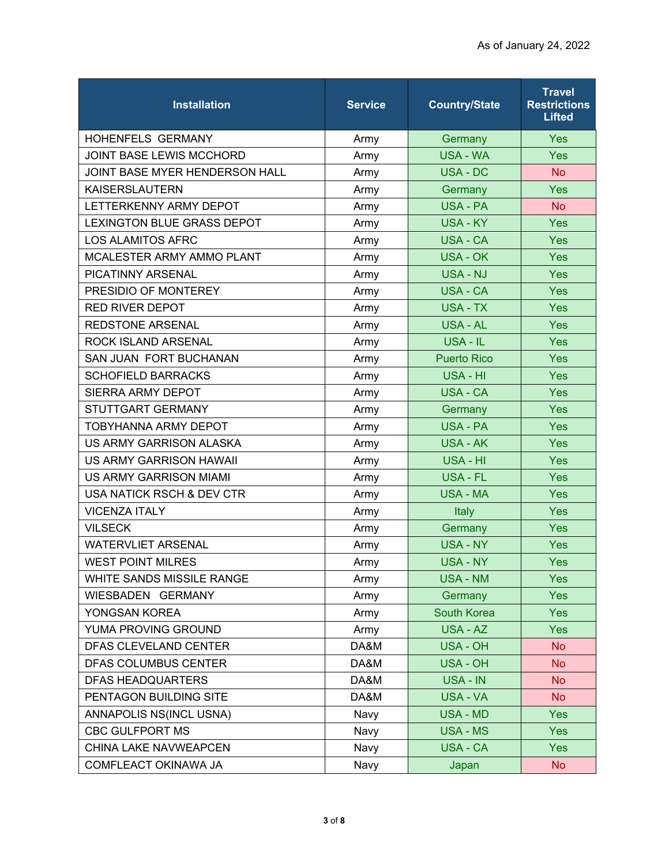| <b>Installation</b>                  | <b>Service</b> | <b>Country/State</b> | <b>Travel</b><br><b>Restrictions</b><br><b>Lifted</b> |
|--------------------------------------|----------------|----------------------|-------------------------------------------------------|
| <b>HOHENFELS GERMANY</b>             | Army           | Germany              | Yes                                                   |
| <b>JOINT BASE LEWIS MCCHORD</b>      | Army           | <b>USA - WA</b>      | Yes                                                   |
| JOINT BASE MYER HENDERSON HALL       | Army           | <b>USA - DC</b>      | <b>No</b>                                             |
| <b>KAISERSLAUTERN</b>                | Army           | Germany              | Yes                                                   |
| LETTERKENNY ARMY DEPOT               | Army           | USA - PA             | <b>No</b>                                             |
| <b>LEXINGTON BLUE GRASS DEPOT</b>    | Army           | <b>USA - KY</b>      | Yes                                                   |
| <b>LOS ALAMITOS AFRC</b>             | Army           | USA - CA             | Yes                                                   |
| MCALESTER ARMY AMMO PLANT            | Army           | USA - OK             | Yes                                                   |
| PICATINNY ARSENAL                    | Army           | USA - NJ             | Yes                                                   |
| PRESIDIO OF MONTEREY                 | Army           | <b>USA - CA</b>      | Yes                                                   |
| <b>RED RIVER DEPOT</b>               | Army           | <b>USA - TX</b>      | <b>Yes</b>                                            |
| <b>REDSTONE ARSENAL</b>              | Army           | <b>USA - AL</b>      | Yes                                                   |
| <b>ROCK ISLAND ARSENAL</b>           | Army           | USA - IL             | Yes                                                   |
| SAN JUAN FORT BUCHANAN               | Army           | <b>Puerto Rico</b>   | Yes                                                   |
| <b>SCHOFIELD BARRACKS</b>            | Army           | USA - HI             | Yes                                                   |
| SIERRA ARMY DEPOT                    | Army           | <b>USA - CA</b>      | Yes                                                   |
| STUTTGART GERMANY                    | Army           | Germany              | Yes                                                   |
| <b>TOBYHANNA ARMY DEPOT</b>          | Army           | <b>USA - PA</b>      | Yes                                                   |
| US ARMY GARRISON ALASKA              | Army           | <b>USA - AK</b>      | Yes                                                   |
| US ARMY GARRISON HAWAII              | Army           | USA - HI             | <b>Yes</b>                                            |
| <b>US ARMY GARRISON MIAMI</b>        | Army           | <b>USA - FL</b>      | Yes                                                   |
| <b>USA NATICK RSCH &amp; DEV CTR</b> | Army           | <b>USA - MA</b>      | Yes                                                   |
| <b>VICENZA ITALY</b>                 | Army           | Italy                | <b>Yes</b>                                            |
| <b>VILSECK</b>                       | Army           | Germany              | Yes                                                   |
| <b>WATERVLIET ARSENAL</b>            | Army           | <b>USA - NY</b>      | Yes                                                   |
| <b>WEST POINT MILRES</b>             | Army           | <b>USA - NY</b>      | <b>Yes</b>                                            |
| WHITE SANDS MISSILE RANGE            | Army           | <b>USA - NM</b>      | <b>Yes</b>                                            |
| WIESBADEN GERMANY                    | Army           | Germany              | <b>Yes</b>                                            |
| YONGSAN KOREA                        | Army           | South Korea          | <b>Yes</b>                                            |
| YUMA PROVING GROUND                  | Army           | USA - AZ             | <b>Yes</b>                                            |
| DFAS CLEVELAND CENTER                | DA&M           | <b>USA - OH</b>      | <b>No</b>                                             |
| DFAS COLUMBUS CENTER                 | DA&M           | <b>USA - OH</b>      | <b>No</b>                                             |
| <b>DFAS HEADQUARTERS</b>             | DA&M           | USA - IN             | <b>No</b>                                             |
| PENTAGON BUILDING SITE               | DA&M           | USA - VA             | No                                                    |
| ANNAPOLIS NS(INCL USNA)              | Navy           | <b>USA - MD</b>      | <b>Yes</b>                                            |
| <b>CBC GULFPORT MS</b>               | Navy           | <b>USA - MS</b>      | Yes                                                   |
| CHINA LAKE NAVWEAPCEN                | Navy           | USA - CA             | <b>Yes</b>                                            |
| COMFLEACT OKINAWA JA                 | Navy           | Japan                | <b>No</b>                                             |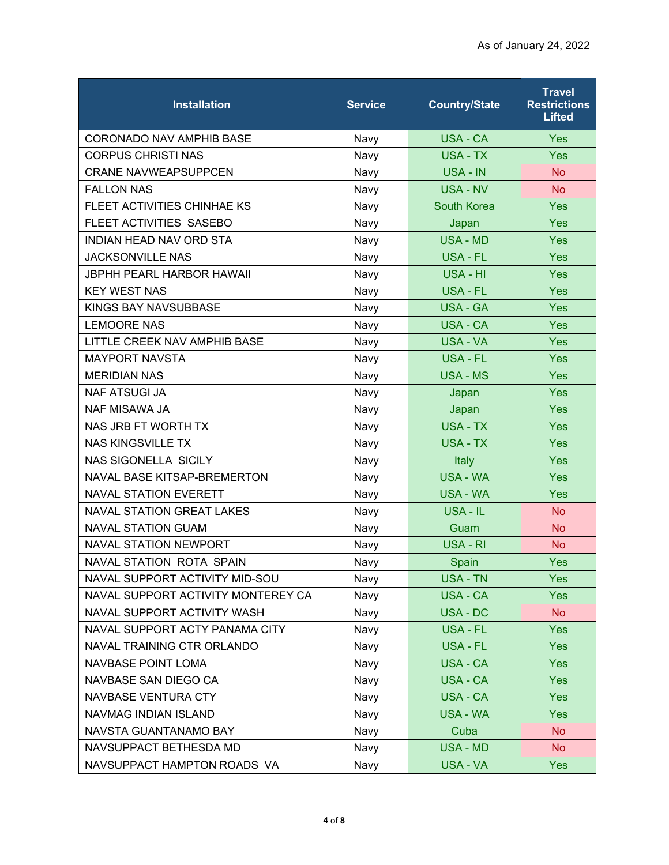| <b>Installation</b>                | <b>Service</b> | <b>Country/State</b> | <b>Travel</b><br><b>Restrictions</b><br><b>Lifted</b> |
|------------------------------------|----------------|----------------------|-------------------------------------------------------|
| <b>CORONADO NAV AMPHIB BASE</b>    | Navy           | USA - CA             | Yes                                                   |
| <b>CORPUS CHRISTI NAS</b>          | Navy           | USA - TX             | Yes                                                   |
| <b>CRANE NAVWEAPSUPPCEN</b>        | Navy           | USA - IN             | <b>No</b>                                             |
| <b>FALLON NAS</b>                  | Navy           | <b>USA - NV</b>      | <b>No</b>                                             |
| FLEET ACTIVITIES CHINHAE KS        | Navy           | <b>South Korea</b>   | <b>Yes</b>                                            |
| FLEET ACTIVITIES SASEBO            | Navy           | Japan                | Yes                                                   |
| INDIAN HEAD NAV ORD STA            | Navy           | <b>USA - MD</b>      | Yes                                                   |
| <b>JACKSONVILLE NAS</b>            | Navy           | USA - FL             | <b>Yes</b>                                            |
| <b>JBPHH PEARL HARBOR HAWAII</b>   | Navy           | USA - HI             | Yes                                                   |
| <b>KEY WEST NAS</b>                | Navy           | <b>USA - FL</b>      | Yes                                                   |
| KINGS BAY NAVSUBBASE               | Navy           | <b>USA - GA</b>      | <b>Yes</b>                                            |
| <b>LEMOORE NAS</b>                 | Navy           | <b>USA - CA</b>      | Yes                                                   |
| LITTLE CREEK NAV AMPHIB BASE       | Navy           | USA - VA             | <b>Yes</b>                                            |
| <b>MAYPORT NAVSTA</b>              | Navy           | <b>USA - FL</b>      | Yes                                                   |
| <b>MERIDIAN NAS</b>                | Navy           | <b>USA - MS</b>      | Yes                                                   |
| <b>NAF ATSUGI JA</b>               | Navy           | Japan                | <b>Yes</b>                                            |
| <b>NAF MISAWA JA</b>               | Navy           | Japan                | <b>Yes</b>                                            |
| NAS JRB FT WORTH TX                | Navy           | <b>USA - TX</b>      | Yes                                                   |
| <b>NAS KINGSVILLE TX</b>           | Navy           | <b>USA - TX</b>      | Yes                                                   |
| <b>NAS SIGONELLA SICILY</b>        | Navy           | Italy                | <b>Yes</b>                                            |
| NAVAL BASE KITSAP-BREMERTON        | Navy           | <b>USA - WA</b>      | Yes                                                   |
| <b>NAVAL STATION EVERETT</b>       | Navy           | <b>USA - WA</b>      | Yes                                                   |
| <b>NAVAL STATION GREAT LAKES</b>   | Navy           | USA - IL             | <b>No</b>                                             |
| <b>NAVAL STATION GUAM</b>          | Navy           | Guam                 | <b>No</b>                                             |
| <b>NAVAL STATION NEWPORT</b>       | Navy           | USA - RI             | <b>No</b>                                             |
| <b>NAVAL STATION ROTA SPAIN</b>    | Navy           | Spain                | <b>Yes</b>                                            |
| NAVAL SUPPORT ACTIVITY MID-SOU     | Navy           | <b>USA - TN</b>      | <b>Yes</b>                                            |
| NAVAL SUPPORT ACTIVITY MONTEREY CA | Navy           | <b>USA - CA</b>      | <b>Yes</b>                                            |
| NAVAL SUPPORT ACTIVITY WASH        | Navy           | USA - DC             | <b>No</b>                                             |
| NAVAL SUPPORT ACTY PANAMA CITY     | Navy           | USA - FL             | <b>Yes</b>                                            |
| NAVAL TRAINING CTR ORLANDO         | Navy           | <b>USA - FL</b>      | Yes                                                   |
| NAVBASE POINT LOMA                 | Navy           | USA - CA             | <b>Yes</b>                                            |
| NAVBASE SAN DIEGO CA               | Navy           | USA - CA             | <b>Yes</b>                                            |
| NAVBASE VENTURA CTY                | Navy           | USA - CA             | <b>Yes</b>                                            |
| NAVMAG INDIAN ISLAND               | Navy           | USA - WA             | <b>Yes</b>                                            |
| NAVSTA GUANTANAMO BAY              | Navy           | Cuba                 | <b>No</b>                                             |
| NAVSUPPACT BETHESDA MD             | Navy           | <b>USA - MD</b>      | No                                                    |
| NAVSUPPACT HAMPTON ROADS VA        | Navy           | USA - VA             | <b>Yes</b>                                            |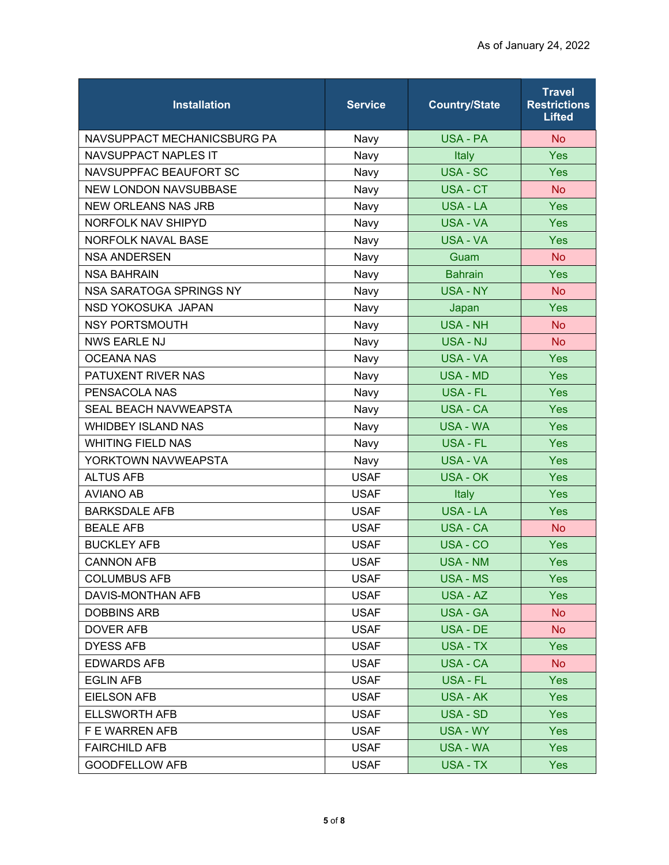| <b>Installation</b>          | <b>Service</b> | <b>Country/State</b> | <b>Travel</b><br><b>Restrictions</b><br><b>Lifted</b> |
|------------------------------|----------------|----------------------|-------------------------------------------------------|
| NAVSUPPACT MECHANICSBURG PA  | Navy           | USA - PA             | <b>No</b>                                             |
| <b>NAVSUPPACT NAPLES IT</b>  | Navy           | Italy                | Yes                                                   |
| NAVSUPPFAC BEAUFORT SC       | Navy           | USA - SC             | Yes                                                   |
| NEW LONDON NAVSUBBASE        | Navy           | USA-CT               | <b>No</b>                                             |
| <b>NEW ORLEANS NAS JRB</b>   | Navy           | USA - LA             | Yes                                                   |
| NORFOLK NAV SHIPYD           | Navy           | <b>USA - VA</b>      | <b>Yes</b>                                            |
| NORFOLK NAVAL BASE           | Navy           | USA - VA             | Yes                                                   |
| <b>NSA ANDERSEN</b>          | Navy           | Guam                 | <b>No</b>                                             |
| <b>NSA BAHRAIN</b>           | Navy           | <b>Bahrain</b>       | Yes                                                   |
| NSA SARATOGA SPRINGS NY      | Navy           | <b>USA - NY</b>      | <b>No</b>                                             |
| NSD YOKOSUKA JAPAN           | Navy           | Japan                | <b>Yes</b>                                            |
| <b>NSY PORTSMOUTH</b>        | Navy           | <b>USA - NH</b>      | <b>No</b>                                             |
| <b>NWS EARLE NJ</b>          | Navy           | USA - NJ             | <b>No</b>                                             |
| <b>OCEANA NAS</b>            | Navy           | USA - VA             | Yes                                                   |
| PATUXENT RIVER NAS           | Navy           | <b>USA - MD</b>      | Yes                                                   |
| PENSACOLA NAS                | Navy           | USA - FL             | <b>Yes</b>                                            |
| <b>SEAL BEACH NAVWEAPSTA</b> | Navy           | USA - CA             | <b>Yes</b>                                            |
| <b>WHIDBEY ISLAND NAS</b>    | Navy           | <b>USA - WA</b>      | Yes                                                   |
| <b>WHITING FIELD NAS</b>     | Navy           | USA - FL             | <b>Yes</b>                                            |
| YORKTOWN NAVWEAPSTA          | Navy           | USA - VA             | <b>Yes</b>                                            |
| <b>ALTUS AFB</b>             | <b>USAF</b>    | <b>USA - OK</b>      | <b>Yes</b>                                            |
| <b>AVIANO AB</b>             | <b>USAF</b>    | Italy                | Yes                                                   |
| <b>BARKSDALE AFB</b>         | <b>USAF</b>    | <b>USA - LA</b>      | <b>Yes</b>                                            |
| <b>BEALE AFB</b>             | <b>USAF</b>    | <b>USA - CA</b>      | <b>No</b>                                             |
| <b>BUCKLEY AFB</b>           | <b>USAF</b>    | USA - CO             | Yes                                                   |
| <b>CANNON AFB</b>            | <b>USAF</b>    | <b>USA - NM</b>      | <b>Yes</b>                                            |
| <b>COLUMBUS AFB</b>          | <b>USAF</b>    | USA - MS             | <b>Yes</b>                                            |
| DAVIS-MONTHAN AFB            | <b>USAF</b>    | USA - AZ             | <b>Yes</b>                                            |
| <b>DOBBINS ARB</b>           | <b>USAF</b>    | <b>USA - GA</b>      | No                                                    |
| DOVER AFB                    | <b>USAF</b>    | USA - DE             | <b>No</b>                                             |
| <b>DYESS AFB</b>             | <b>USAF</b>    | USA - TX             | Yes                                                   |
| <b>EDWARDS AFB</b>           | <b>USAF</b>    | USA - CA             | No.                                                   |
| <b>EGLIN AFB</b>             | <b>USAF</b>    | USA - FL             | <b>Yes</b>                                            |
| <b>EIELSON AFB</b>           | <b>USAF</b>    | USA - AK             | <b>Yes</b>                                            |
| <b>ELLSWORTH AFB</b>         | <b>USAF</b>    | USA - SD             | <b>Yes</b>                                            |
| F E WARREN AFB               | <b>USAF</b>    | USA - WY             | <b>Yes</b>                                            |
| <b>FAIRCHILD AFB</b>         | <b>USAF</b>    | USA - WA             | <b>Yes</b>                                            |
| <b>GOODFELLOW AFB</b>        | <b>USAF</b>    | USA - TX             | <b>Yes</b>                                            |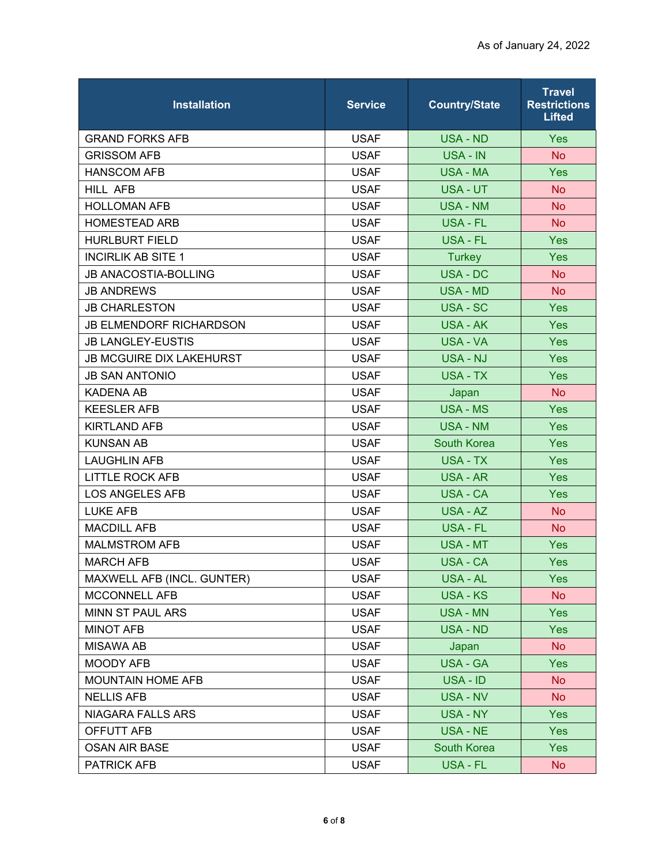| <b>Installation</b>             | <b>Service</b> | <b>Country/State</b> | <b>Travel</b><br><b>Restrictions</b><br><b>Lifted</b> |
|---------------------------------|----------------|----------------------|-------------------------------------------------------|
| <b>GRAND FORKS AFB</b>          | <b>USAF</b>    | USA - ND             | <b>Yes</b>                                            |
| <b>GRISSOM AFB</b>              | <b>USAF</b>    | USA - IN             | <b>No</b>                                             |
| <b>HANSCOM AFB</b>              | <b>USAF</b>    | <b>USA - MA</b>      | Yes                                                   |
| <b>HILL AFB</b>                 | <b>USAF</b>    | USA - UT             | <b>No</b>                                             |
| <b>HOLLOMAN AFB</b>             | <b>USAF</b>    | <b>USA - NM</b>      | <b>No</b>                                             |
| <b>HOMESTEAD ARB</b>            | <b>USAF</b>    | USA - FL             | <b>No</b>                                             |
| <b>HURLBURT FIELD</b>           | <b>USAF</b>    | USA - FL             | <b>Yes</b>                                            |
| <b>INCIRLIK AB SITE 1</b>       | <b>USAF</b>    | <b>Turkey</b>        | Yes                                                   |
| <b>JB ANACOSTIA-BOLLING</b>     | <b>USAF</b>    | <b>USA - DC</b>      | <b>No</b>                                             |
| <b>JB ANDREWS</b>               | <b>USAF</b>    | <b>USA - MD</b>      | <b>No</b>                                             |
| <b>JB CHARLESTON</b>            | <b>USAF</b>    | USA - SC             | Yes                                                   |
| <b>JB ELMENDORF RICHARDSON</b>  | <b>USAF</b>    | USA - AK             | Yes                                                   |
| <b>JB LANGLEY-EUSTIS</b>        | <b>USAF</b>    | USA - VA             | <b>Yes</b>                                            |
| <b>JB MCGUIRE DIX LAKEHURST</b> | <b>USAF</b>    | USA - NJ             | <b>Yes</b>                                            |
| <b>JB SAN ANTONIO</b>           | <b>USAF</b>    | USA - TX             | Yes                                                   |
| <b>KADENA AB</b>                | <b>USAF</b>    | Japan                | <b>No</b>                                             |
| <b>KEESLER AFB</b>              | <b>USAF</b>    | <b>USA - MS</b>      | Yes                                                   |
| <b>KIRTLAND AFB</b>             | <b>USAF</b>    | <b>USA - NM</b>      | <b>Yes</b>                                            |
| <b>KUNSAN AB</b>                | <b>USAF</b>    | <b>South Korea</b>   | <b>Yes</b>                                            |
| <b>LAUGHLIN AFB</b>             | <b>USAF</b>    | USA - TX             | <b>Yes</b>                                            |
| <b>LITTLE ROCK AFB</b>          | <b>USAF</b>    | USA - AR             | Yes                                                   |
| <b>LOS ANGELES AFB</b>          | <b>USAF</b>    | <b>USA - CA</b>      | Yes                                                   |
| <b>LUKE AFB</b>                 | <b>USAF</b>    | USA - AZ             | <b>No</b>                                             |
| <b>MACDILL AFB</b>              | <b>USAF</b>    | USA - FL             | <b>No</b>                                             |
| <b>MALMSTROM AFB</b>            | <b>USAF</b>    | <b>USA - MT</b>      | Yes                                                   |
| <b>MARCH AFB</b>                | <b>USAF</b>    | USA - CA             | <b>Yes</b>                                            |
| MAXWELL AFB (INCL. GUNTER)      | <b>USAF</b>    | USA - AL             | <b>Yes</b>                                            |
| MCCONNELL AFB                   | <b>USAF</b>    | <b>USA - KS</b>      | <b>No</b>                                             |
| MINN ST PAUL ARS                | <b>USAF</b>    | <b>USA - MN</b>      | <b>Yes</b>                                            |
| <b>MINOT AFB</b>                | <b>USAF</b>    | USA - ND             | <b>Yes</b>                                            |
| <b>MISAWA AB</b>                | <b>USAF</b>    | Japan                | <b>No</b>                                             |
| MOODY AFB                       | <b>USAF</b>    | USA - GA             | <b>Yes</b>                                            |
| <b>MOUNTAIN HOME AFB</b>        | <b>USAF</b>    | USA - ID             | <b>No</b>                                             |
| <b>NELLIS AFB</b>               | <b>USAF</b>    | USA - NV             | No                                                    |
| NIAGARA FALLS ARS               | <b>USAF</b>    | USA - NY             | <b>Yes</b>                                            |
| OFFUTT AFB                      | <b>USAF</b>    | USA - NE             | <b>Yes</b>                                            |
| <b>OSAN AIR BASE</b>            | <b>USAF</b>    | South Korea          | <b>Yes</b>                                            |
| PATRICK AFB                     | <b>USAF</b>    | USA - FL             | No                                                    |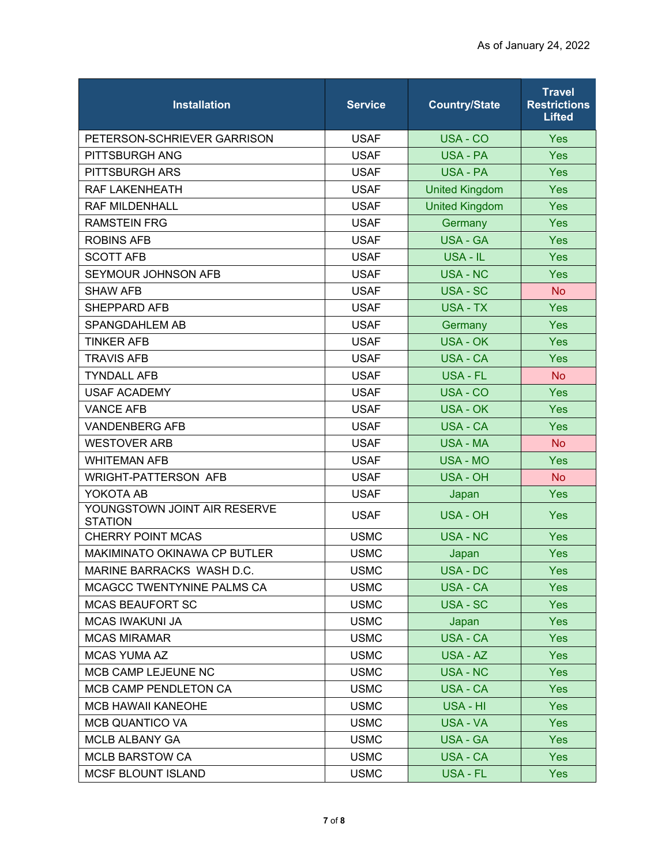| <b>Installation</b>                            | <b>Service</b> | <b>Country/State</b>  | <b>Travel</b><br><b>Restrictions</b><br><b>Lifted</b> |
|------------------------------------------------|----------------|-----------------------|-------------------------------------------------------|
| PETERSON-SCHRIEVER GARRISON                    | <b>USAF</b>    | USA - CO              | <b>Yes</b>                                            |
| PITTSBURGH ANG                                 | <b>USAF</b>    | <b>USA - PA</b>       | <b>Yes</b>                                            |
| <b>PITTSBURGH ARS</b>                          | <b>USAF</b>    | USA - PA              | Yes                                                   |
| RAF LAKENHEATH                                 | <b>USAF</b>    | <b>United Kingdom</b> | Yes                                                   |
| <b>RAF MILDENHALL</b>                          | <b>USAF</b>    | <b>United Kingdom</b> | Yes                                                   |
| <b>RAMSTEIN FRG</b>                            | <b>USAF</b>    | Germany               | Yes                                                   |
| <b>ROBINS AFB</b>                              | <b>USAF</b>    | <b>USA - GA</b>       | Yes                                                   |
| <b>SCOTT AFB</b>                               | <b>USAF</b>    | USA - IL              | Yes                                                   |
| SEYMOUR JOHNSON AFB                            | <b>USAF</b>    | <b>USA - NC</b>       | Yes                                                   |
| <b>SHAW AFB</b>                                | <b>USAF</b>    | <b>USA - SC</b>       | <b>No</b>                                             |
| <b>SHEPPARD AFB</b>                            | <b>USAF</b>    | USA - TX              | Yes                                                   |
| SPANGDAHLEM AB                                 | <b>USAF</b>    | Germany               | Yes                                                   |
| <b>TINKER AFB</b>                              | <b>USAF</b>    | <b>USA - OK</b>       | Yes                                                   |
| <b>TRAVIS AFB</b>                              | <b>USAF</b>    | <b>USA - CA</b>       | <b>Yes</b>                                            |
| <b>TYNDALL AFB</b>                             | <b>USAF</b>    | <b>USA - FL</b>       | <b>No</b>                                             |
| <b>USAF ACADEMY</b>                            | <b>USAF</b>    | USA - CO              | Yes                                                   |
| <b>VANCE AFB</b>                               | <b>USAF</b>    | <b>USA - OK</b>       | Yes                                                   |
| <b>VANDENBERG AFB</b>                          | <b>USAF</b>    | USA - CA              | Yes                                                   |
| <b>WESTOVER ARB</b>                            | <b>USAF</b>    | <b>USA - MA</b>       | <b>No</b>                                             |
| <b>WHITEMAN AFB</b>                            | <b>USAF</b>    | <b>USA - MO</b>       | Yes                                                   |
| <b>WRIGHT-PATTERSON AFB</b>                    | <b>USAF</b>    | USA - OH              | <b>No</b>                                             |
| YOKOTA AB                                      | <b>USAF</b>    | Japan                 | Yes                                                   |
| YOUNGSTOWN JOINT AIR RESERVE<br><b>STATION</b> | <b>USAF</b>    | <b>USA - OH</b>       | <b>Yes</b>                                            |
| <b>CHERRY POINT MCAS</b>                       | <b>USMC</b>    | <b>USA - NC</b>       | Yes                                                   |
| MAKIMINATO OKINAWA CP BUTLER                   | <b>USMC</b>    | Japan                 | <b>Yes</b>                                            |
| MARINE BARRACKS WASH D.C.                      | <b>USMC</b>    | USA - DC              | Yes                                                   |
| MCAGCC TWENTYNINE PALMS CA                     | <b>USMC</b>    | <b>USA - CA</b>       | <b>Yes</b>                                            |
| <b>MCAS BEAUFORT SC</b>                        | <b>USMC</b>    | USA - SC              | <b>Yes</b>                                            |
| <b>MCAS IWAKUNI JA</b>                         | <b>USMC</b>    | Japan                 | <b>Yes</b>                                            |
| <b>MCAS MIRAMAR</b>                            | <b>USMC</b>    | USA - CA              | <b>Yes</b>                                            |
| <b>MCAS YUMA AZ</b>                            | <b>USMC</b>    | USA - AZ              | <b>Yes</b>                                            |
| MCB CAMP LEJEUNE NC                            | <b>USMC</b>    | USA - NC              | <b>Yes</b>                                            |
| MCB CAMP PENDLETON CA                          | <b>USMC</b>    | USA - CA              | <b>Yes</b>                                            |
| <b>MCB HAWAII KANEOHE</b>                      | <b>USMC</b>    | USA - HI              | <b>Yes</b>                                            |
| <b>MCB QUANTICO VA</b>                         | <b>USMC</b>    | USA - VA              | <b>Yes</b>                                            |
| MCLB ALBANY GA                                 | <b>USMC</b>    | <b>USA - GA</b>       | <b>Yes</b>                                            |
| <b>MCLB BARSTOW CA</b>                         | <b>USMC</b>    | USA - CA              | <b>Yes</b>                                            |
| <b>MCSF BLOUNT ISLAND</b>                      | <b>USMC</b>    | USA - FL              | <b>Yes</b>                                            |